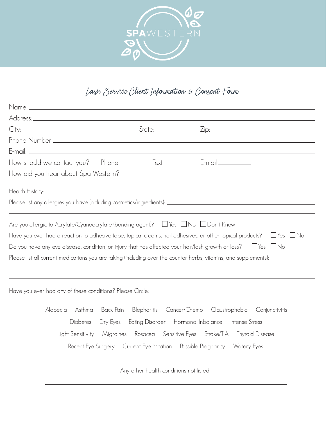

## Lash Service Client Information & Consent Form

| Health History:                                                                                                                                                                                                                           |                                         |                                                                                                                                     |  |
|-------------------------------------------------------------------------------------------------------------------------------------------------------------------------------------------------------------------------------------------|-----------------------------------------|-------------------------------------------------------------------------------------------------------------------------------------|--|
|                                                                                                                                                                                                                                           |                                         |                                                                                                                                     |  |
| Are you allergic to Acrylate/Cyanoacrylate (bonding agent)? $\quad \Box$ Yes $\quad \Box$ No $\quad \Box$ Don't Know<br>Please list all current medications you are taking (including over-the-counter herbs, vitamins, and supplements): |                                         | Do you have any eye disease, condition, or injury that has affected your hair/lash growth or loss? $\quad \Box$ Yes $\quad \Box$ No |  |
| Have you ever had any of these conditions? Please Circle:                                                                                                                                                                                 |                                         |                                                                                                                                     |  |
| Alopecia<br>Asthma                                                                                                                                                                                                                        |                                         | Back Pain Blepharitis Cancer/Chemo Claustrophobia Conjunctivitis                                                                    |  |
| Diabetes                                                                                                                                                                                                                                  |                                         | Dry Eyes Eating Disorder Hormonal Inbalance Intense Stress                                                                          |  |
|                                                                                                                                                                                                                                           |                                         | Light Sensitivity Migraines Rosacea Sensitive Eyes Stroke/TIA Thyroid Disease                                                       |  |
|                                                                                                                                                                                                                                           |                                         | Recent Eye Surgery Current Eye Irritation Possible Pregnancy Watery Eyes                                                            |  |
|                                                                                                                                                                                                                                           | Any other health conditions not listed: |                                                                                                                                     |  |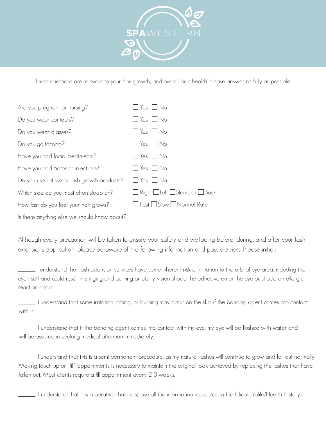

These questions are relevant to your hair growth, and overall hair health. Please answer as fully as possible.

| Are you pregnant or nursing?                 | $\Box$ Yes $\Box$ No        |
|----------------------------------------------|-----------------------------|
| Do you wear contacts?                        | $\Box$ Yes $\Box$ No        |
| Do you wear glasses?                         | $\Box$ Yes $\Box$ No        |
| Do you go tanning?                           | $\Box$ Yes $\Box$ No        |
| Have you had facial treatments?              | $\Box$ Yes $\Box$ No        |
| Have you had Botox or injections?            | $\Box$ Yes $\Box$ No        |
| Do you use Latisse or lash growth products?  | $\Box$ Yes $\Box$ No        |
| Which side do you most often sleep on?       | Right Left Stomach Back     |
| How fast do you feel your hair grows?        | □ Fast □ Slow □ Normal Rate |
| Is there anything else we should know about? |                             |

Although every precaution will be taken to ensure your safety and wellbeing before, during, and after your lash extensions application, please be aware of the following information and possible risks. Please initial:

 I understand that lash extension services have some inherent risk of irritation to the orbital eye area, including the eye itself and could result in stinging and burning or blurry vision should the adhesive enter the eye or should an allergic reaction occur.

 I understand that some irritation, itching, or burning may occur on the skin if the bonding agent comes into contact with it.

 I understand that if the bonding agent comes into contact with my eye, my eye will be flushed with water and I will be assisted in seeking medical attention immediately.

 I understand that this is a semi-permanent procedure, as my natural lashes will continue to grow and fall out normally. Making touch up or "fill" appointments is necessary to maintain the original look achieved by replacing the lashes that have fallen out. Most clients require a fill appointment every 2-3 weeks.

I understand that it is imperative that I disclose all the information requested in the Client Profile/Health History.